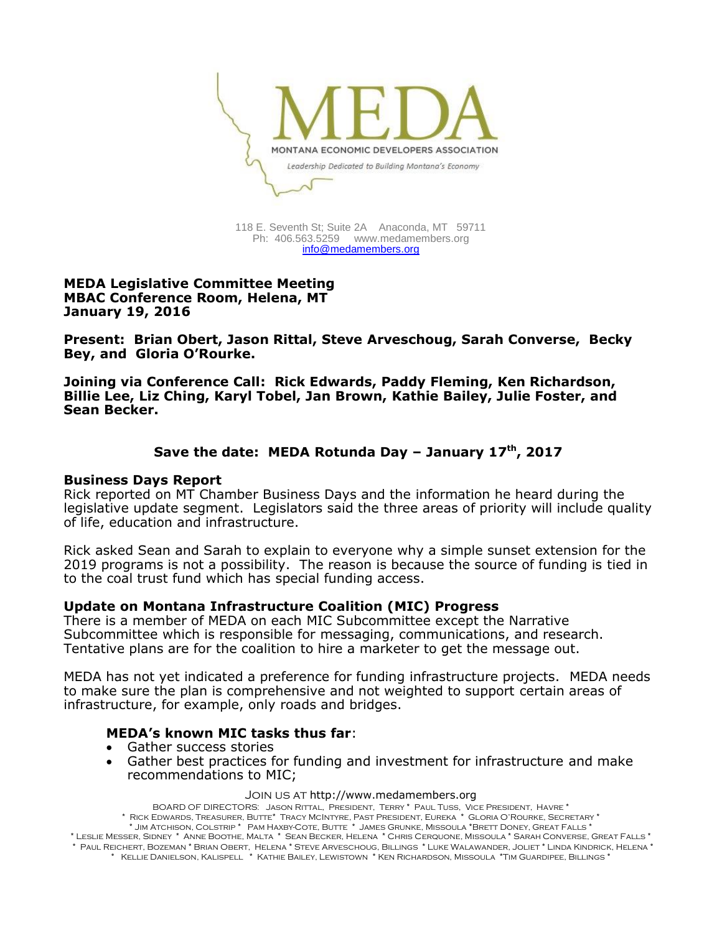

118 E. Seventh St; Suite 2A Anaconda, MT 59711 Ph: 406.563.5259 [www.medamembers.org](http://www.medamembers.org/) [info@medamembers.org](mailto:info@medamembers.org)

**MEDA Legislative Committee Meeting MBAC Conference Room, Helena, MT January 19, 2016**

**Present: Brian Obert, Jason Rittal, Steve Arveschoug, Sarah Converse, Becky Bey, and Gloria O'Rourke.**

**Joining via Conference Call: Rick Edwards, Paddy Fleming, Ken Richardson, Billie Lee, Liz Ching, Karyl Tobel, Jan Brown, Kathie Bailey, Julie Foster, and Sean Becker.**

## **Save the date: MEDA Rotunda Day – January 17th, 2017**

#### **Business Days Report**

Rick reported on MT Chamber Business Days and the information he heard during the legislative update segment. Legislators said the three areas of priority will include quality of life, education and infrastructure.

Rick asked Sean and Sarah to explain to everyone why a simple sunset extension for the 2019 programs is not a possibility. The reason is because the source of funding is tied in to the coal trust fund which has special funding access.

#### **Update on Montana Infrastructure Coalition (MIC) Progress**

There is a member of MEDA on each MIC Subcommittee except the Narrative Subcommittee which is responsible for messaging, communications, and research. Tentative plans are for the coalition to hire a marketer to get the message out.

MEDA has not yet indicated a preference for funding infrastructure projects. MEDA needs to make sure the plan is comprehensive and not weighted to support certain areas of infrastructure, for example, only roads and bridges.

#### **MEDA's known MIC tasks thus far**:

- Gather success stories
- Gather best practices for funding and investment for infrastructure and make recommendations to MIC;

#### Join us at http://www.medamembers.org

BOARD OF DIRECTORS: Jason Rittal, President, Terry \* Paul Tuss, Vice President, Havre \* \* Rick Edwards, Treasurer, Butte\* Tracy McIntyre, Past President, Eureka \* Gloria O'Rourke, Secretary \* \* Jim Atchison, Colstrip \* Pam Haxby-Cote, Butte \* James Grunke, Missoula \*Brett Doney, Great Falls \*

\* Leslie Messer, Sidney \* Anne Boothe, Malta \* Sean Becker, Helena \* Chris Cerquone, Missoula \* Sarah Converse, Great Falls \* \* Paul Reichert, Bozeman \* Brian Obert, Helena \* Steve Arveschoug, Billings \* Luke Walawander, Joliet \* Linda Kindrick, Helena \* \* Kellie Danielson, Kalispell \* Kathie Bailey, Lewistown \* Ken Richardson, Missoula \*Tim Guardipee, Billings \*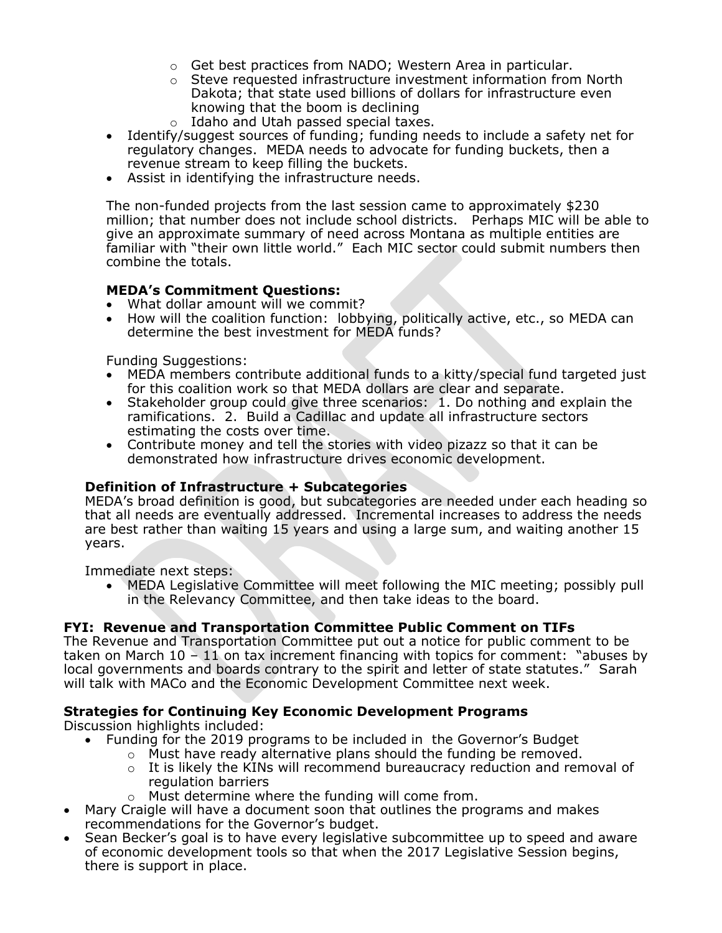- o Get best practices from NADO; Western Area in particular.
- o Steve requested infrastructure investment information from North Dakota; that state used billions of dollars for infrastructure even knowing that the boom is declining
- o Idaho and Utah passed special taxes.
- Identify/suggest sources of funding; funding needs to include a safety net for regulatory changes. MEDA needs to advocate for funding buckets, then a revenue stream to keep filling the buckets.
- Assist in identifying the infrastructure needs.

The non-funded projects from the last session came to approximately \$230 million; that number does not include school districts. Perhaps MIC will be able to give an approximate summary of need across Montana as multiple entities are familiar with "their own little world." Each MIC sector could submit numbers then combine the totals.

# **MEDA's Commitment Questions:**

- What dollar amount will we commit?
- How will the coalition function: lobbying, politically active, etc., so MEDA can determine the best investment for MEDA funds?

Funding Suggestions:

- MEDA members contribute additional funds to a kitty/special fund targeted just for this coalition work so that MEDA dollars are clear and separate.
- Stakeholder group could give three scenarios: 1. Do nothing and explain the ramifications. 2. Build a Cadillac and update all infrastructure sectors estimating the costs over time.
- Contribute money and tell the stories with video pizazz so that it can be demonstrated how infrastructure drives economic development.

## **Definition of Infrastructure + Subcategories**

MEDA's broad definition is good, but subcategories are needed under each heading so that all needs are eventually addressed. Incremental increases to address the needs are best rather than waiting 15 years and using a large sum, and waiting another 15 years.

Immediate next steps:

 MEDA Legislative Committee will meet following the MIC meeting; possibly pull in the Relevancy Committee, and then take ideas to the board.

## **FYI: Revenue and Transportation Committee Public Comment on TIFs**

The Revenue and Transportation Committee put out a notice for public comment to be taken on March  $10 - 11$  on tax increment financing with topics for comment: "abuses by local governments and boards contrary to the spirit and letter of state statutes." Sarah will talk with MACo and the Economic Development Committee next week.

## **Strategies for Continuing Key Economic Development Programs**

Discussion highlights included:

- Funding for the 2019 programs to be included in the Governor's Budget
	- o Must have ready alternative plans should the funding be removed.
	- $\circ$  It is likely the KINs will recommend bureaucracy reduction and removal of regulation barriers
		- o Must determine where the funding will come from.
- Mary Craigle will have a document soon that outlines the programs and makes recommendations for the Governor's budget.
- Sean Becker's goal is to have every legislative subcommittee up to speed and aware of economic development tools so that when the 2017 Legislative Session begins, there is support in place.